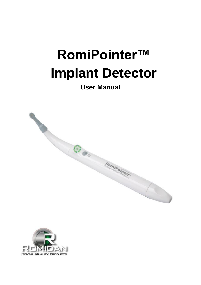# **RomiPointer™ Implant Detector**

# **User Manual**



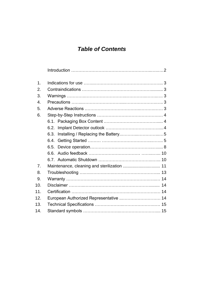# **Table of Contents**

| 1.               |                                             |  |  |
|------------------|---------------------------------------------|--|--|
| 2.               |                                             |  |  |
| 3.               |                                             |  |  |
| $\overline{4}$ . |                                             |  |  |
| 5.               |                                             |  |  |
| 6.               |                                             |  |  |
|                  |                                             |  |  |
|                  | 6.2.                                        |  |  |
|                  | 6.3.                                        |  |  |
|                  |                                             |  |  |
|                  |                                             |  |  |
|                  | 66.                                         |  |  |
|                  |                                             |  |  |
| 7 <sub>1</sub>   | Maintenance, cleaning and sterilization  11 |  |  |
| 8.               |                                             |  |  |
| 9.               |                                             |  |  |
| 10.              |                                             |  |  |
| 11.              |                                             |  |  |
| 12.              | European Authorized Representative  14      |  |  |
| 13.              |                                             |  |  |
| 14.              |                                             |  |  |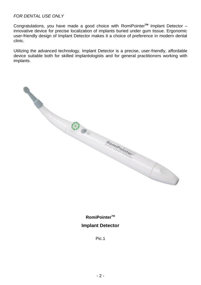#### FOR DENTAL USE ONLY

Congratulations, you have made a good choice with RomiPointer**TM** Implant Detector – innovative device for precise localization of implants buried under gum tissue. Ergonomic user-friendly design of Implant Detector makes it a choice of preference in modern dental clinic.

Utilizing the advanced technology, Implant Detector is a precise, user-friendly, affordable device suitable both for skilled implantologists and for general practitioners working with implants.

**COOPERATION** Rominomtor 

**RomiPointerTM Implant Detector**

Pic.1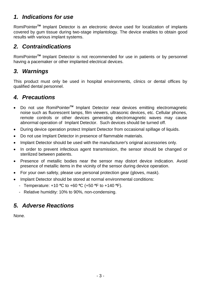## **1. Indications for use**

RomiPointer**TM** Implant Detector is an electronic device used for localization of implants covered by gum tissue during two-stage implantology. The device enables to obtain good results with various implant systems.

## **2. Contraindications**

RomiPointer**TM** Implant Detector is not recommended for use in patients or by personnel having a pacemaker or other implanted electrical devices.

## **3. Warnings**

This product must only be used in hospital environments, clinics or dental offices by qualified dental personnel.

## **4. Precautions**

- Do not use RomiPointer**TM** Implant Detector near devices emitting electromagnetic noise such as fluorescent lamps, film viewers, ultrasonic devices, etc. Cellular phones, remote controls or other devices generating electromagnetic waves may cause abnormal operation of Implant Detector. Such devices should be turned off.
- During device operation protect Implant Detector from occasional spillage of liquids.
- Do not use Implant Detector in presence of flammable materials.
- Implant Detector should be used with the manufacturer's original accessories only.
- In order to prevent infectious agent transmission, the sensor should be changed or sterilized between patients.
- Presence of metallic bodies near the sensor may distort device indication. Avoid presence of metallic items in the vicinity of the sensor during device operation.
- For your own safety, please use personal protection gear (gloves, mask).
- Implant Detector should be stored at normal environmental conditions:
	- Temperature: +10 **º**C to +60 **º**C (+50 **º**F to +140 **º**F).
	- Relative humidity: 10% to 90%, non-condensing.

## **5. Adverse Reactions**

None.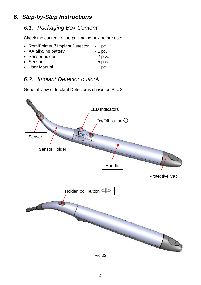# **6. Step-by-Step Instructions**

## 6.1. Packaging Box Content

Check the content of the packaging box before use:

- RomiPointer<sup>™</sup> Implant Detector 1 pc.
- AA alkaline battery 1 pc.
- Sensor holder 2 pcs.
- Sensor 5 pcs.
- User Manual 1 pc.

# 6.2. Implant Detector outlook

General view of Implant Detector is shown on Pic. 2.



Pic 22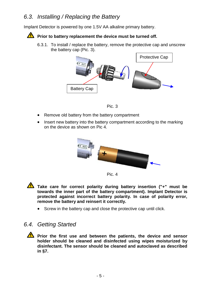## 6.3. Installing / Replacing the Battery

Implant Detector is powered by one 1.5V AA alkaline primary battery.

#### **Prior to battery replacement the device must be turned off.**

6.3.1. To install / replace the battery, remove the protective cap and unscrew the battery cap (Pic. 3).





- Remove old battery from the battery compartment
- Insert new battery into the battery compartment according to the marking on the device as shown on Pic 4.





**Take care for correct polarity during battery insertion ("+" must be towards the inner part of the battery compartment). Implant Detector is protected against incorrect battery polarity. In case of polarity error, remove the battery and reinsert it correctly.** 

• Screw in the battery cap and close the protective cap until click.

#### 6.4. Getting Started

**Prior the first use and between the patients, the device and sensor holder should be cleaned and disinfected using wipes moisturized by disinfectant. The sensor should be cleaned and autoclaved as described in §7.**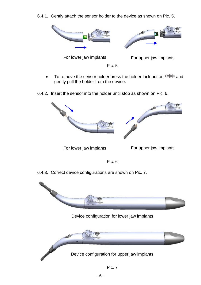6.4.1. Gently attach the sensor holder to the device as shown on Pic. 5.



- To remove the sensor holder press the holder lock button  $\leftarrow$  and gently pull the holder from the device.
- 6.4.2. Insert the sensor into the holder until stop as shown on Pic. 6.



For lower jaw implants For upper jaw implants

Pic. 6

6.4.3. Correct device configurations are shown on Pic. 7.



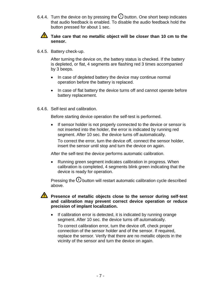6.4.4. Turn the device on by pressing the  $\overline{0}$  button. One short beep indicates that audio feedback is enabled. To disable the audio feedback hold the button pressed for about 1 sec.



#### Take care that no metallic object will be closer than 10 cm to the **sensor.**

6.4.5. Battery check-up.

After turning the device on, the battery status is checked. If the battery is depleted, or flat, 4 segments are flashing red 3 times accompanied by 3 beeps.

- In case of depleted battery the device may continue normal operation before the battery is replaced.
- In case of flat battery the device turns off and cannot operate before battery replacement.
- 6.4.6. Self-test and calibration.

Before starting device operation the self-test is performed.

• If sensor holder is not properly connected to the device or sensor is not inserted into the holder, the error is indicated by running red segment. After 10 sec. the device turns off automatically.

To correct the error, turn the device off, connect the sensor holder, insert the sensor until stop and turn the device on again.

After the self-test the device performs automatic calibration.

 Running green segment indicates calibration in progress. When calibration is completed, 4 segments blink green indicating that the device is ready for operation.

Pressing the  $\overline{0}$  button will restart automatic calibration cycle described above.

#### **Presence of metallic objects close to the sensor during self-test and calibration may prevent correct device operation or reduce precision of implant localization.**

• If calibration error is detected, it is indicated by running orange segment. After 10 sec. the device turns off automatically.

To correct calibration error, turn the device off, check proper connection of the sensor holder and of the sensor. If required, replace the sensor. Verify that there are no metallic objects in the vicinity of the sensor and turn the device on again.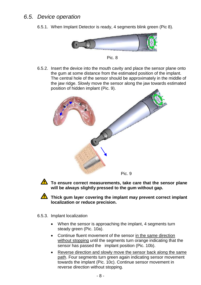## 6.5. Device operation

6.5.1. When Implant Detector is ready, 4 segments blink green (Pic 8).





6.5.2. Insert the device into the mouth cavity and place the sensor plane onto the gum at some distance from the estimated position of the implant. The central hole of the sensor should be approximately in the middle of the jaw ridge. Slowly move the sensor along the jaw towards estimated position of hidden implant (Pic. 9).





**To ensure correct measurements, take care that the sensor plane will be always slightly pressed to the gum without gap.**

Thick gum layer covering the implant may prevent correct implant **localization or reduce precision.** 

- 6.5.3. Implant localization
	- When the sensor is approaching the implant, 4 segments turn steady green (Pic. 10a).
	- Continue fluent movement of the sensor in the same direction without stopping until the segments turn orange indicating that the sensor has passed the implant position (Pic. 10b).
	- Reverse direction and slowly move the sensor back along the same path. Four segments turn green again indicating sensor movement towards the implant (Pic. 10c). Continue sensor movement in reverse direction without stopping.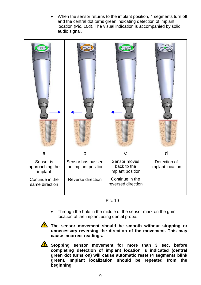When the sensor returns to the implant position, 4 segments turn off and the central dot turns green indicating detection of implant location (Pic. 10d). The visual indication is accompanied by solid audio signal.



Pic. 10

• Through the hole in the middle of the sensor mark on the gum location of the implant using dental probe.



The sensor movement should be smooth without stopping or **unnecessary reversing the direction of the movement. This may cause incorrect readings.**



Stopping sensor movement for more than 3 sec. before **completing detection of implant location is indicated (central green dot turns on) will cause automatic reset (4 segments blink green). Implant localization should be repeated from the beginning.**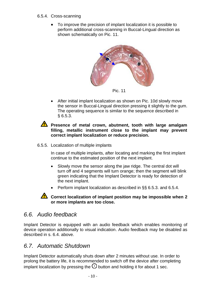#### 6.5.4. Cross-scanning

 To improve the precision of implant localization it is possible to perform additional cross-scanning in Buccal-Lingual direction as shown schematically on Pic. 11.



Pic. 11

 After initial implant localization as shown on Pic. 10d slowly move the sensor in Buccal-Lingual direction pressing it slightly to the gum. The operating sequence is similar to the sequence described in § 6.5.3.

**A** Presence of metal crown, abutment, tooth with large amalgam **filling, metallic instrument close to the implant may prevent correct implant localization or reduce precision.**

6.5.5. Localization of multiple implants

In case of multiple implants, after locating and marking the first implant continue to the estimated position of the next implant.

- Slowly move the sensor along the jaw ridge. The central dot will turn off and 4 segments will turn orange; then the segment will blink green indicating that the Implant Detector is ready for detection of the next implant.
- Perform implant localization as described in §§ 6.5.3. and 6.5.4.

#### **Correct localization of implant position may be impossible when 2 or more implants are too close.**

## 6.6. Audio feedback

Implant Detector is equipped with an audio feedback which enables monitoring of device operation additionally to visual indication. Audio feedback may be disabled as described in s. 6.4. above.

## 6.7. Automatic Shutdown

Implant Detector automatically shuts down after 2 minutes without use. In order to prolong the battery life, it is recommended to switch off the device after completing implant localization by pressing the  $\mathbb O$  button and holding it for about 1 sec.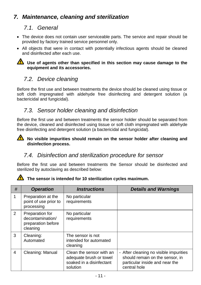# **7. Maintenance, cleaning and sterilization**

## 7.1. General

- The device does not contain user serviceable parts. The service and repair should be provided by factory trained service personnel only.
- All objects that were in contact with potentially infectious agents should be cleaned and disinfected after each use.

#### **1** Use of agents other than specified in this section may cause damage to the **equipment and its accessories.**

## 7.2. Device cleaning

Before the first use and between treatments the device should be cleaned using tissue or soft cloth impregnated with aldehyde free disinfecting and detergent solution (a bactericidal and fungicidal).

## 7.3. Sensor holder cleaning and disinfection

Before the first use and between treatments the sensor holder should be separated from the device, cleaned and disinfected using tissue or soft cloth impregnated with aldehyde free disinfecting and detergent solution (a bactericidal and fungicidal).

#### **No visible impurities should remain on the sensor holder after cleaning and disinfection process.**

## 7.4. Disinfection and sterilization procedure for sensor

Before the first use and between treatments the Sensor should be disinfected and sterilized by autoclaving as described below:



#### The sensor is intended for 10 sterilization cycles maximum.

| #              | <b>Operation</b>                                                      | <i><b>Instructions</b></i>                                                                  | <b>Details and Warnings</b>                                                                                                 |
|----------------|-----------------------------------------------------------------------|---------------------------------------------------------------------------------------------|-----------------------------------------------------------------------------------------------------------------------------|
| 1              | Preparation at the<br>point of use prior to<br>processing             | No particular<br>requirements                                                               |                                                                                                                             |
| $\mathcal{P}$  | Preparation for<br>decontamination/<br>preparation before<br>cleaning | No particular<br>requirements                                                               |                                                                                                                             |
| 3              | Cleaning:<br>Automated                                                | The sensor is not<br>intended for automated<br>cleaning                                     |                                                                                                                             |
| $\overline{4}$ | Cleaning: Manual                                                      | Clean the sensor with an<br>adequate brush or towel<br>soaked in a disinfectant<br>solution | - After cleaning no visible impurities<br>should remain on the sensor, in<br>particular inside and near the<br>central hole |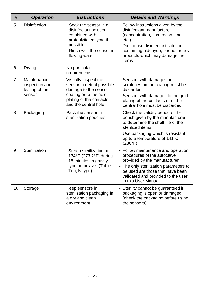| #              | <b>Operation</b>                                           | <b>Instructions</b>                                                                                                                                    | <b>Details and Warnings</b>                                                                                                                                                                                                                  |
|----------------|------------------------------------------------------------|--------------------------------------------------------------------------------------------------------------------------------------------------------|----------------------------------------------------------------------------------------------------------------------------------------------------------------------------------------------------------------------------------------------|
| 5              | <b>Disinfection</b>                                        | - Soak the sensor in a<br>disinfectant solution<br>combined with<br>proteolytic enzyme if<br>possible<br>- Rinse well the sensor in<br>flowing water   | - Follow instructions given by the<br>disinfectant manufacturer<br>(concentration, immersion time,<br>$etc.$ )<br>- Do not use disinfectant solution<br>containing aldehyde, phenol or any<br>products which may damage the<br>items         |
| 6              | Drying                                                     | No particular<br>requirements                                                                                                                          |                                                                                                                                                                                                                                              |
| $\overline{7}$ | Maintenance,<br>inspection and<br>testing of the<br>sensor | Visually inspect the<br>sensor to detect possible<br>damage to the sensor<br>coating or to the gold<br>plating of the contacts<br>and the central hole | - Sensors with damages or<br>scratches on the coating must be<br>discarded<br>- Sensors with damages to the gold<br>plating of the contacts or of the<br>central hole must be discarded                                                      |
| 8              | Packaging                                                  | Pack the sensor in<br>sterilization pouches                                                                                                            | - Check the validity period of the<br>pouch given by the manufacturer<br>to determine the shelf life of the<br>sterilized items<br>- Use packaging which is resistant<br>up to a temperature of 141°C<br>(286°F)                             |
| 9              | Sterilization                                              | - Steam sterilization at<br>134°C (273.2°F) during<br>18 minutes in gravity<br>type autoclave. (Table<br>Top, N type)                                  | - Follow maintenance and operation<br>procedures of the autoclave<br>provided by the manufacturer<br>- The only sterilization parameters to<br>be used are those that have been<br>validated and provided to the user<br>in this User Manual |
| 10             | Storage                                                    | Keep sensors in<br>sterilization packaging in<br>a dry and clean<br>environment                                                                        | - Sterility cannot be guaranteed if<br>packaging is open or damaged<br>(check the packaging before using<br>the sensors)                                                                                                                     |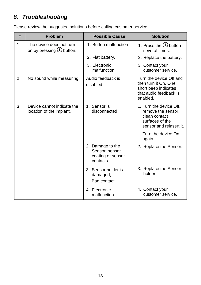# **8. Troubleshooting**

Please review the suggested solutions before calling customer service.

| #              | <b>Problem</b>                                                 | <b>Possible Cause</b>                                               | <b>Solution</b>                                                                                               |
|----------------|----------------------------------------------------------------|---------------------------------------------------------------------|---------------------------------------------------------------------------------------------------------------|
| 1              | The device does not turn<br>on by pressing $\mathbf 0$ button. | 1. Button malfunction                                               | 1. Press the $\mathbf \Theta$ button<br>several times.                                                        |
|                |                                                                | 2. Flat battery.                                                    | 2. Replace the battery.                                                                                       |
|                |                                                                | 3. Electronic<br>malfunction.                                       | 3. Contact your<br>customer service.                                                                          |
| $\overline{2}$ | No sound while measuring.                                      | Audio feedback is<br>disabled.                                      | Turn the device Off and<br>then turn it On. One<br>short beep indicates<br>that audio feedback is<br>enabled. |
| 3              | Device cannot indicate the<br>location of the implant.         | 1. Sensor is<br>disconnected                                        | 1. Turn the device Off,<br>remove the sensor,<br>clean contact<br>surfaces of the<br>sensor and reinsert it.  |
|                |                                                                |                                                                     | Turn the device On<br>again.                                                                                  |
|                |                                                                | 2. Damage to the<br>Sensor, sensor<br>coating or sensor<br>contacts | 2. Replace the Sensor.                                                                                        |
|                |                                                                | 3. Sensor holder is<br>damaged;<br><b>Bad contact</b>               | 3. Replace the Sensor<br>holder.                                                                              |
|                |                                                                | 4. Electronic<br>malfunction.                                       | 4. Contact your<br>customer service.                                                                          |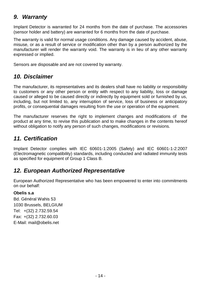## **9. Warranty**

Implant Detector is warranted for 24 months from the date of purchase. The accessories (sensor holder and battery) are warranted for 6 months from the date of purchase.

The warranty is valid for normal usage conditions. Any damage caused by accident, abuse, misuse, or as a result of service or modification other than by a person authorized by the manufacturer will render the warranty void. The warranty is in lieu of any other warranty expressed or implied.

Sensors are disposable and are not covered by warranty.

## **10. Disclaimer**

The manufacturer, its representatives and its dealers shall have no liability or responsibility to customers or any other person or entity with respect to any liability, loss or damage caused or alleged to be caused directly or indirectly by equipment sold or furnished by us, including, but not limited to, any interruption of service, loss of business or anticipatory profits, or consequential damages resulting from the use or operation of the equipment.

The manufacturer reserves the right to implement changes and modifications of the product at any time, to revise this publication and to make changes in the contents hereof without obligation to notify any person of such changes, modifications or revisions.

# **11. Certification**

Implant Detector complies with IEC 60601-1:2005 (Safety) and IEC 60601-1-2:2007 (Electromagnetic compatibility) standards, including conducted and radiated immunity tests as specified for equipment of Group 1 Class B.

# **12. European Authorized Representative**

European Authorized Representative who has been empowered to enter into commitments on our behalf:

#### **Obelis s.a**

Bd. Général Wahis 53 1030 Brussels, BELGIUM Tel: +(32) 2.732.59.54 Fax: +(32) 2.732.60.03 E-Mail: [mail@obelis.net](mailto:mail@obelis.net)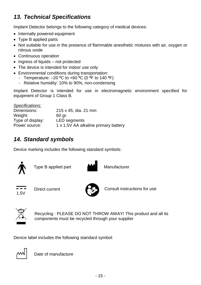# **13. Technical Specifications**

Implant Detector belongs to the following category of medical devices:

- Internally powered equipment
- Type B applied parts
- Not suitable for use in the presence of flammable anesthetic mixtures with air, oxygen or nitrous oxide
- Continuous operation
- $\bullet$  Ingress of liquids not protected
- The device is intended for indoor use only
- Environmental conditions during transportation:
	- Temperature: –20 **º**C to +60 **º**C (0 **º**F to 140 **º**F)
	- Relative humidity: 10% to 90%, non-condensing

Implant Detector is intended for use in electromagnetic environment specified for equipment of Group 1 Class B.

| 215 x 45, dia. 21 mm                 |
|--------------------------------------|
| 60 ar.                               |
| <b>LED</b> segments                  |
| 1 x 1.5V AA alkaline primary battery |
|                                      |

# **14. Standard symbols**

Device marking includes the following standard symbols:



Type B applied part



 $1.5V$ 



Direct current Consult instructions for use



Recycling : PLEASE DO NOT THROW AWAY! This product and all its components must be recycled through your supplier

Device label includes the following standard symbol:



Date of manufacture